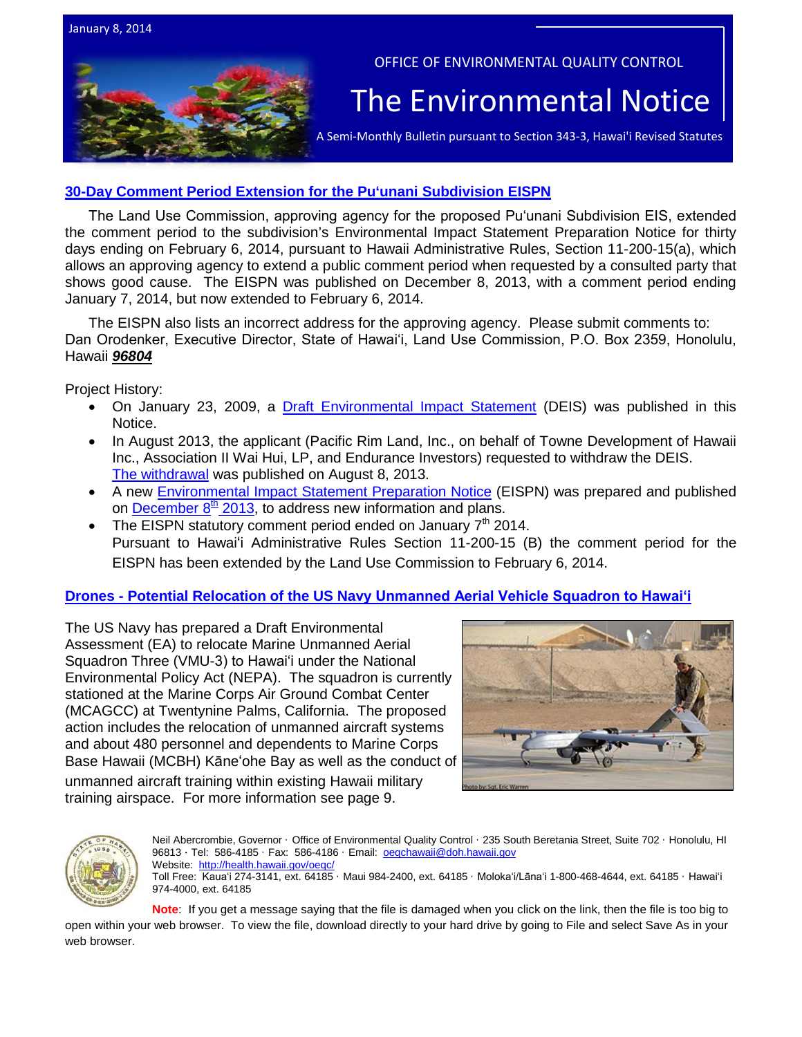



### **[30-Day Comment Period Extension for the Pu'unani Subdivision EISPN](http://oeqc.doh.hawaii.gov/Shared%20Documents/EA_and_EIS_Online_Library/OTHER%20CHAPTER%20343%20NOTICES/2014-01-08-MA-5E-Extension-of-Public-Comment-Period-for-Puunani-Subdivision-Project.pdf)**

The Land Use Commission, approving agency for the proposed Puʻunani Subdivision EIS, extended the comment period to the subdivision's Environmental Impact Statement Preparation Notice for thirty days ending on February 6, 2014, pursuant to Hawaii Administrative Rules, Section 11-200-15(a), which allows an approving agency to extend a public comment period when requested by a consulted party that shows good cause. The EISPN was published on December 8, 2013, with a comment period ending January 7, 2014, but now extended to February 6, 2014.

The EISPN also lists an incorrect address for the approving agency. Please submit comments to: Dan Orodenker, Executive Director, State of Hawaiʻi, Land Use Commission, P.O. Box 2359, Honolulu, Hawaii *96804*

Project History:

- On January 23, 2009, a [Draft Environmental Impact Statement](http://oeqc.doh.hawaii.gov/Shared%20Documents/EA_and_EIS_Online_Library/Maui/2000s/2009-01-23-MA-DEIS-Puunani-Subdivision.pdf) (DEIS) was published in this Notice.
- In August 2013, the applicant (Pacific Rim Land, Inc., on behalf of Towne Development of Hawaii Inc., Association II Wai Hui, LP, and Endurance Investors) requested to withdraw the DEIS. [The withdrawal](http://oeqc.doh.hawaii.gov/Shared%20Documents/Environmental_Notice/Archives/2010s/2013-08-08.pdf) was published on August 8, 2013.
- A new [Environmental Impact Statement Preparation Notice](http://oeqc.doh.hawaii.gov/Shared%20Documents/EA_and_EIS_Online_Library/Maui/2010s/2013-12-08-MA-5E-EISPN-Puunani-Subdivision-Project.pdf) (EISPN) was prepared and published on **December 8<sup>th</sup> 2013**, to address new information and plans.
- The EISPN statutory comment period ended on January 7<sup>th</sup> 2014. Pursuant to Hawai'i Administrative Rules Section 11-200-15 (B) the comment period for the EISPN has been extended by the Land Use Commission to February 6, 2014.

#### **Drones - Potential Relocation of the US Na[vy Unmanned Aerial Vehicle Squadron to Hawaiʻi](http://oeqc.doh.hawaii.gov/Shared%20Documents/EA_and_EIS_Online_Library/NEPA%20and%20Other%20Documents/2014-01-08-NEPA-DEA-Relocation-of-Unmanned-Aerial-Vehicle-Squadron-from-California-to-Hawaii.pdf)**

The US Navy has prepared a Draft Environmental Assessment (EA) to relocate Marine Unmanned Aerial Squadron Three (VMU-3) to Hawaiʻi under the National Environmental Policy Act (NEPA). The squadron is currently stationed at the Marine Corps Air Ground Combat Center (MCAGCC) at Twentynine Palms, California. The proposed action includes the relocation of unmanned aircraft systems and about 480 personnel and dependents to Marine Corps Base Hawaii (MCBH) Kāne'ohe Bay as well as the conduct of

unmanned aircraft training within existing Hawaii military training airspace. For more information see page 9.





Neil Abercrombie, Governor · Office of Environmental Quality Control · 235 South Beretania Street, Suite 702 · Honolulu, HI 96813 · Tel: 586-4185 · Fax: 586-4186 · Email: oegchawaii@doh.hawaii.gov Website: <http://health.hawaii.gov/oeqc/> Toll Free: Kauaʻi 274-3141, ext. 64185 · Maui 984-2400, ext. 64185 · Molokaʻi/Lānaʻi 1-800-468-4644, ext. 64185 · Hawaiʻi 974-4000, ext. 64185

**Note**: If you get a message saying that the file is damaged when you click on the link, then the file is too big to open within your web browser. To view the file, download directly to your hard drive by going to File and select Save As in your web browser.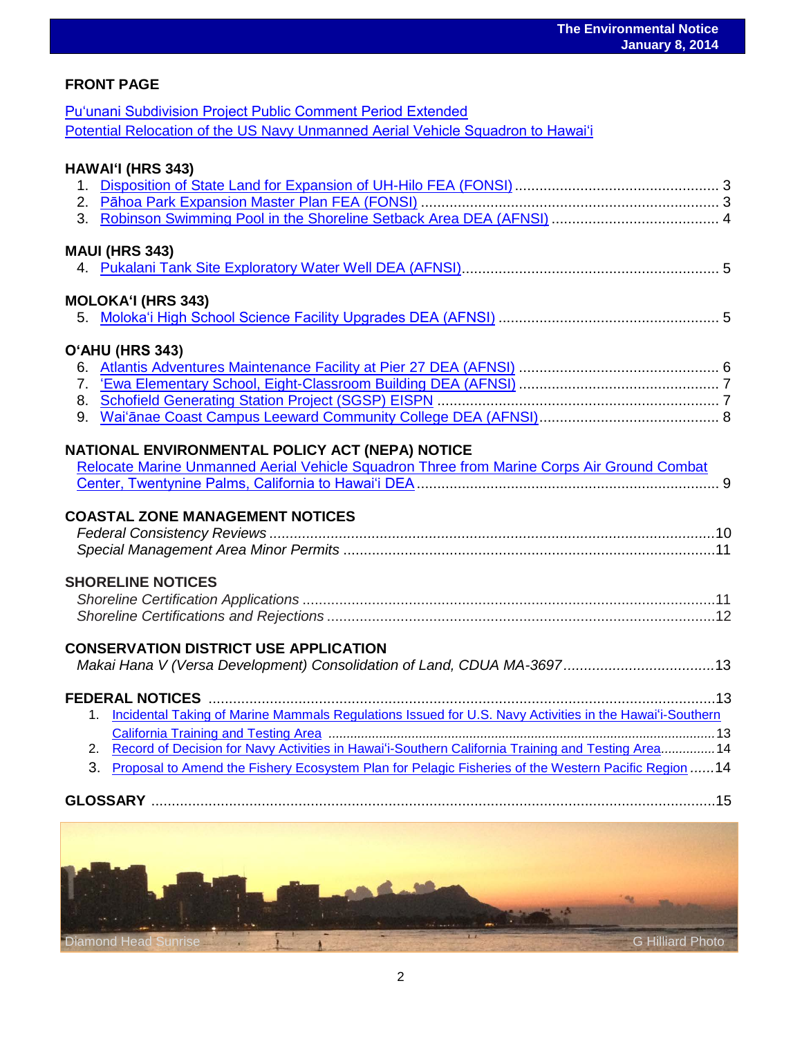### **FRONT PAGE**

[Puʻunani Subdivision Project Public Comment Period Extended](http://oeqc.doh.hawaii.gov/Shared%20Documents/EA_and_EIS_Online_Library/OTHER%20CHAPTER%20343%20NOTICES/2014-01-08-MA-5E-Extension-of-Public-Comment-Period-for-Puunani-Subdivision-Project.pdf) [Potential Relocation of the US Navy Unmann](http://oeqc.doh.hawaii.gov/Shared%20Documents/EA_and_EIS_Online_Library/NEPA%20and%20Other%20Documents/2014-01-08-NEPA-DEA-Relocation-of-Unmanned-Aerial-Vehicle-Squadron-from-California-to-Hawaii.pdf)ed Aerial Vehicle Squadron to Hawaiʻi

### **HAWAIʻI (HRS 343)**

#### **MAUI (HRS 343)**

### **MOLOKAʻI (HRS 343)**

### **OʻAHU (HRS 343)**

### **NATIONAL ENVIRONMENTAL POLICY ACT (NEPA) NOTICE**

| Relocate Marine Unmanned Aerial Vehicle Squadron Three from Marine Corps Air Ground Combat |  |
|--------------------------------------------------------------------------------------------|--|
|                                                                                            |  |

### **COASTAL ZONE MANAGEMENT NOTICES**

#### **SHORELINE NOTICES**

### **CONSERVATION DISTRICT USE APPLICATION**

| 1. Incidental Taking of Marine Mammals Regulations Issued for U.S. Navy Activities in the Hawai'i-Southern |
|------------------------------------------------------------------------------------------------------------|
|                                                                                                            |
| 2. Record of Decision for Navy Activities in Hawai'i-Southern California Training and Testing Area14       |
| 3. Proposal to Amend the Fishery Ecosystem Plan for Pelagic Fisheries of the Western Pacific Region 14     |



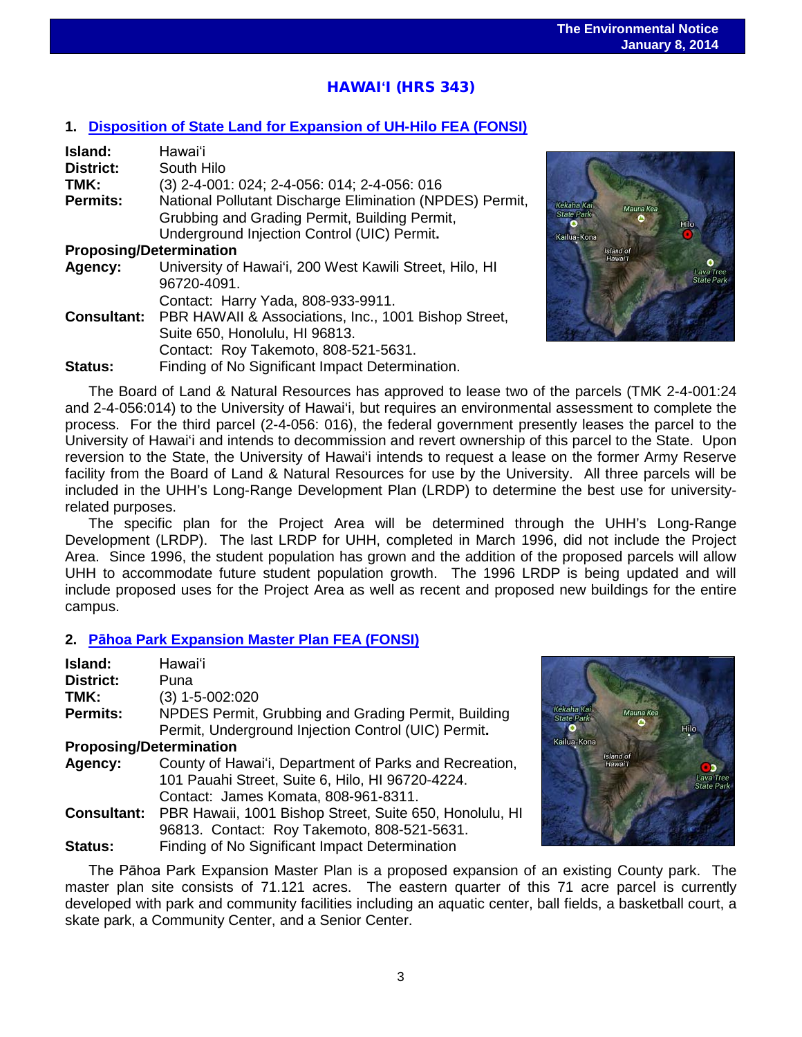# HAWAI**ʻ**I (HRS 343)

#### **1. [Disposition of State Land for Expansion of UH-Hilo FEA \(FONSI\)](http://oeqc.doh.hawaii.gov/Shared%20Documents/EA_and_EIS_Online_Library/Hawaii/2010s/2014-01-08-HA-5B-FEA-Disposition-of-State-Land-for-Expansion-of-UH-Hilo.pdf)**

| Island:                        | Hawai'i                                                  |
|--------------------------------|----------------------------------------------------------|
| District:                      | South Hilo                                               |
| TMK:                           | (3) 2-4-001: 024; 2-4-056: 014; 2-4-056: 016             |
| <b>Permits:</b>                | National Pollutant Discharge Elimination (NPDES) Permit, |
|                                | Grubbing and Grading Permit, Building Permit,            |
|                                | Underground Injection Control (UIC) Permit.              |
| <b>Proposing/Determination</b> |                                                          |
| Agency:                        | University of Hawai'i, 200 West Kawili Street, Hilo, HI  |
|                                | 96720-4091.                                              |
|                                | Contact: Harry Yada, 808-933-9911.                       |
| <b>Consultant:</b>             | PBR HAWAII & Associations, Inc., 1001 Bishop Street,     |
|                                | Suite 650, Honolulu, HI 96813.                           |
|                                | Contact: Roy Takemoto, 808-521-5631.                     |
| Status:                        | Finding of No Significant Impact Determination.          |



The Board of Land & Natural Resources has approved to lease two of the parcels (TMK 2-4-001:24 and 2-4-056:014) to the University of Hawai'i, but requires an environmental assessment to complete the process. For the third parcel (2-4-056: 016), the federal government presently leases the parcel to the University of Hawai'i and intends to decommission and revert ownership of this parcel to the State. Upon reversion to the State, the University of Hawai'i intends to request a lease on the former Army Reserve facility from the Board of Land & Natural Resources for use by the University. All three parcels will be included in the UHH's Long-Range Development Plan (LRDP) to determine the best use for universityrelated purposes.

The specific plan for the Project Area will be determined through the UHH's Long-Range Development (LRDP). The last LRDP for UHH, completed in March 1996, did not include the Project Area. Since 1996, the student population has grown and the addition of the proposed parcels will allow UHH to accommodate future student population growth. The 1996 LRDP is being updated and will include proposed uses for the Project Area as well as recent and proposed new buildings for the entire campus.

#### **2. Pā[hoa Park Expansion Master Plan FEA \(FONSI\)](http://oeqc.doh.hawaii.gov/Shared%20Documents/EA_and_EIS_Online_Library/Hawaii/2010s/2014-01-08-HA-5B-FEA-Pahoa-Park-Expansion-Master-Plan.pdf)**

| Island:                        | Hawai'i                                                 |
|--------------------------------|---------------------------------------------------------|
| District:                      | Puna                                                    |
| TMK:                           | $(3)$ 1-5-002:020                                       |
| <b>Permits:</b>                | NPDES Permit, Grubbing and Grading Permit, Building     |
|                                | Permit, Underground Injection Control (UIC) Permit.     |
| <b>Proposing/Determination</b> |                                                         |
| Agency:                        | County of Hawai'i, Department of Parks and Recreation,  |
|                                | 101 Pauahi Street, Suite 6, Hilo, HI 96720-4224.        |
|                                | Contact: James Komata, 808-961-8311.                    |
| <b>Consultant:</b>             | PBR Hawaii, 1001 Bishop Street, Suite 650, Honolulu, HI |
|                                | 96813. Contact: Roy Takemoto, 808-521-5631.             |
| Status:                        | Finding of No Significant Impact Determination          |



The Pāhoa Park Expansion Master Plan is a proposed expansion of an existing County park. The master plan site consists of 71.121 acres. The eastern quarter of this 71 acre parcel is currently developed with park and community facilities including an aquatic center, ball fields, a basketball court, a skate park, a Community Center, and a Senior Center.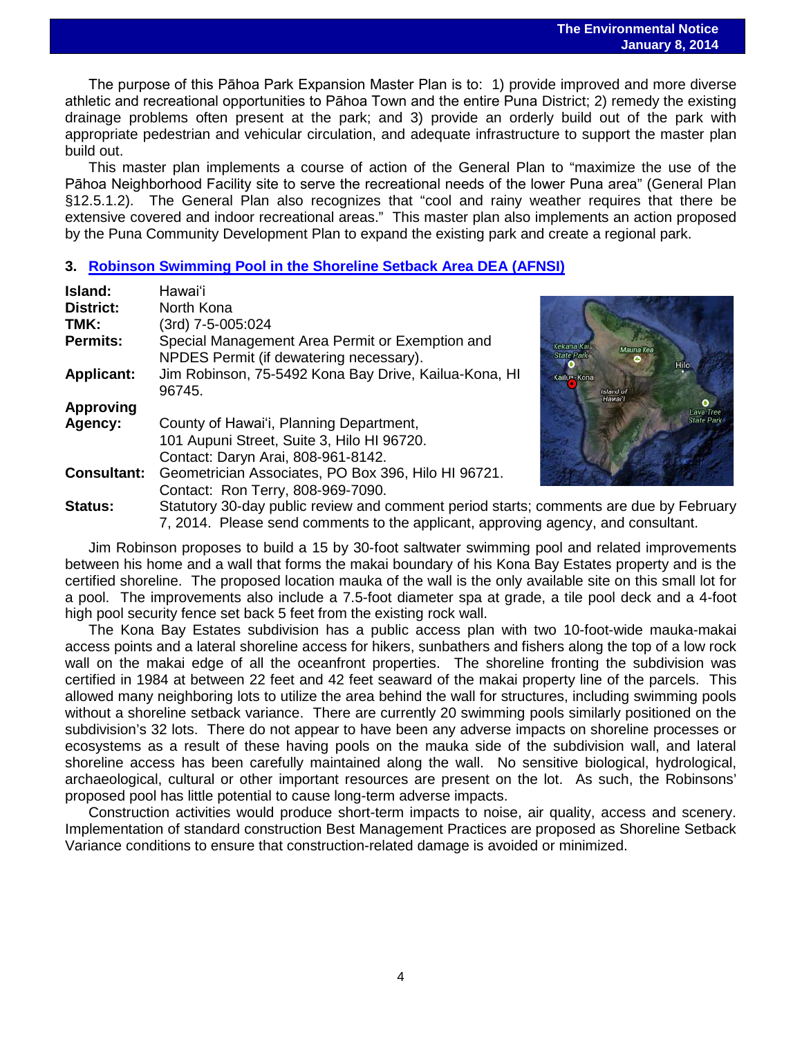#### **The Environmental Notice January 8, 2014**

 The purpose of this Pāhoa Park Expansion Master Plan is to: 1) provide improved and more diverse athletic and recreational opportunities to Pāhoa Town and the entire Puna District; 2) remedy the existing drainage problems often present at the park; and 3) provide an orderly build out of the park with appropriate pedestrian and vehicular circulation, and adequate infrastructure to support the master plan build out.

This master plan implements a course of action of the General Plan to "maximize the use of the Pāhoa Neighborhood Facility site to serve the recreational needs of the lower Puna area" (General Plan §12.5.1.2). The General Plan also recognizes that "cool and rainy weather requires that there be extensive covered and indoor recreational areas." This master plan also implements an action proposed by the Puna Community Development Plan to expand the existing park and create a regional park.

#### **3. [Robinson Swimming Pool in the Shoreline Setback Area DEA \(AFNSI\)](http://oeqc.doh.hawaii.gov/Shared%20Documents/EA_and_EIS_Online_Library/Hawaii/2010s/2014-01-08-HA-5E-DEA-Robinson-Swimming-Pool-in-the-Shoreline-Setback-Area.pdf)**

| Island:            | Hawai'i                                                                                                                                                                     |                                                      |
|--------------------|-----------------------------------------------------------------------------------------------------------------------------------------------------------------------------|------------------------------------------------------|
| District:          | North Kona                                                                                                                                                                  |                                                      |
| TMK:               | (3rd) 7-5-005:024                                                                                                                                                           |                                                      |
| Permits:           | Special Management Area Permit or Exemption and<br>NPDES Permit (if dewatering necessary).                                                                                  | Kekaha Kai<br>Mauna Kea<br><b>State Park</b><br>Hilo |
| <b>Applicant:</b>  | Jim Robinson, 75-5492 Kona Bay Drive, Kailua-Kona, HI<br>96745.                                                                                                             | Kailua-Kona<br>Island of<br>Hawai'l                  |
| <b>Approving</b>   |                                                                                                                                                                             | Lava Tree                                            |
| Agency:            | County of Hawai'i, Planning Department,<br>101 Aupuni Street, Suite 3, Hilo HI 96720.<br>Contact: Daryn Arai, 808-961-8142.                                                 |                                                      |
| <b>Consultant:</b> | Geometrician Associates, PO Box 396, Hilo HI 96721.<br>Contact: Ron Terry, 808-969-7090.                                                                                    |                                                      |
| <b>Status:</b>     | Statutory 30-day public review and comment period starts; comments are due by February<br>7, 2014. Please send comments to the applicant, approving agency, and consultant. |                                                      |

Jim Robinson proposes to build a 15 by 30-foot saltwater swimming pool and related improvements between his home and a wall that forms the makai boundary of his Kona Bay Estates property and is the certified shoreline. The proposed location mauka of the wall is the only available site on this small lot for a pool. The improvements also include a 7.5-foot diameter spa at grade, a tile pool deck and a 4-foot high pool security fence set back 5 feet from the existing rock wall.

The Kona Bay Estates subdivision has a public access plan with two 10-foot-wide mauka-makai access points and a lateral shoreline access for hikers, sunbathers and fishers along the top of a low rock wall on the makai edge of all the oceanfront properties. The shoreline fronting the subdivision was certified in 1984 at between 22 feet and 42 feet seaward of the makai property line of the parcels. This allowed many neighboring lots to utilize the area behind the wall for structures, including swimming pools without a shoreline setback variance. There are currently 20 swimming pools similarly positioned on the subdivision's 32 lots. There do not appear to have been any adverse impacts on shoreline processes or ecosystems as a result of these having pools on the mauka side of the subdivision wall, and lateral shoreline access has been carefully maintained along the wall. No sensitive biological, hydrological, archaeological, cultural or other important resources are present on the lot. As such, the Robinsons' proposed pool has little potential to cause long-term adverse impacts.

Construction activities would produce short-term impacts to noise, air quality, access and scenery. Implementation of standard construction Best Management Practices are proposed as Shoreline Setback Variance conditions to ensure that construction-related damage is avoided or minimized.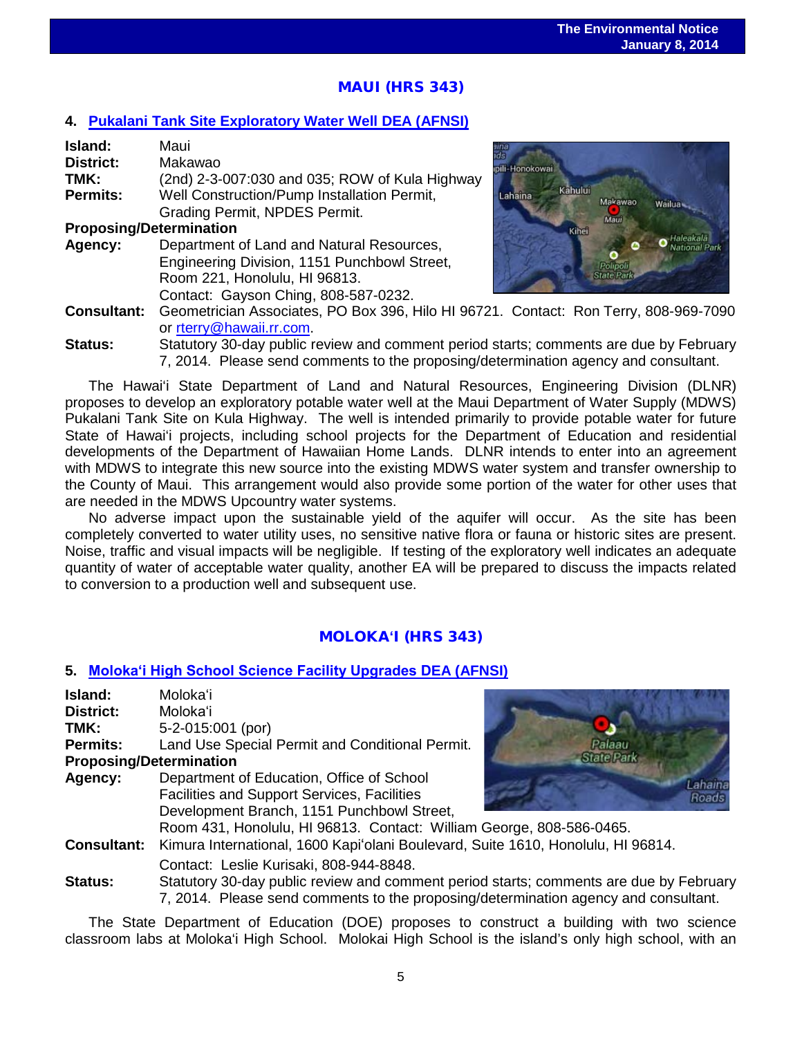# MAUI (HRS 343)

### **4. [Pukalani Tank Site Exploratory Water Well DEA \(AFNSI\)](http://oeqc.doh.hawaii.gov/Shared%20Documents/EA_and_EIS_Online_Library/Maui/2010s/2014-01-08-MA-5B-DEA-Pukalani-Tank-Site-Exploratory-Water-Well.pdf)**

| Island:                        | Maui                                                                                    |                 |         |
|--------------------------------|-----------------------------------------------------------------------------------------|-----------------|---------|
| <b>District:</b>               | Makawao                                                                                 | ipili-Honokowai |         |
| TMK:                           | (2nd) 2-3-007:030 and 035; ROW of Kula Highway                                          |                 |         |
| <b>Permits:</b>                | Well Construction/Pump Installation Permit,                                             | Lahaina         | Kahului |
|                                | Grading Permit, NPDES Permit.                                                           |                 |         |
| <b>Proposing/Determination</b> |                                                                                         |                 | Kihei   |
| Agency:                        | Department of Land and Natural Resources,                                               |                 |         |
|                                | Engineering Division, 1151 Punchbowl Street,                                            |                 |         |
|                                | Room 221, Honolulu, HI 96813.                                                           |                 |         |
|                                | Contact: Gayson Ching, 808-587-0232.                                                    |                 |         |
|                                | <b>Consultant:</b> Geometrician Associates, PO Box 396, Hilo HI 96721. Contact: Ro      |                 |         |
|                                | or rterry@hawaii.rr.com.                                                                |                 |         |
|                                | $\Omega$ tatutamu $\Omega$ . davumulika naviavu amal aanamaant maniaal atautav aanamaan |                 |         |



- **Consultant:** Geometrician Associates, PO Box 396, Hilo HI 96721. Contact: Ron Terry, 808-969-7090
- **Status:** Statutory 30-day public review and comment period starts; comments are due by February 7, 2014. Please send comments to the proposing/determination agency and consultant.

The Hawai'i State Department of Land and Natural Resources, Engineering Division (DLNR) proposes to develop an exploratory potable water well at the Maui Department of Water Supply (MDWS) Pukalani Tank Site on Kula Highway. The well is intended primarily to provide potable water for future State of Hawai'i projects, including school projects for the Department of Education and residential developments of the Department of Hawaiian Home Lands. DLNR intends to enter into an agreement with MDWS to integrate this new source into the existing MDWS water system and transfer ownership to the County of Maui. This arrangement would also provide some portion of the water for other uses that are needed in the MDWS Upcountry water systems.

No adverse impact upon the sustainable yield of the aquifer will occur. As the site has been completely converted to water utility uses, no sensitive native flora or fauna or historic sites are present. Noise, traffic and visual impacts will be negligible. If testing of the exploratory well indicates an adequate quantity of water of acceptable water quality, another EA will be prepared to discuss the impacts related to conversion to a production well and subsequent use.

#### MOLOKA**ʻ**I (HRS 343)

#### **5. [Molokaʻi High School Science Facility Upgrades D](http://oeqc.doh.hawaii.gov/Shared%20Documents/EA_and_EIS_Online_Library/Molokai/2010s/2014-01-08-MA-5B-DEA-Molokai-High-School-Science-Facility-Upgrade.pdf)EA (AFNSI)**

| Island:                        | Molokaʻi                                                                                                                                                                      |  |  |
|--------------------------------|-------------------------------------------------------------------------------------------------------------------------------------------------------------------------------|--|--|
| <b>District:</b>               | Molokaʻi                                                                                                                                                                      |  |  |
| TMK:                           | 5-2-015:001 (por)                                                                                                                                                             |  |  |
| <b>Permits:</b>                | Land Use Special Permit and Conditional Permit.<br>Palaau                                                                                                                     |  |  |
| <b>Proposing/Determination</b> | <b>StatePark</b>                                                                                                                                                              |  |  |
| Agency:                        | Department of Education, Office of School<br>Lahaina                                                                                                                          |  |  |
|                                | <b>Facilities and Support Services, Facilities</b><br>Roads                                                                                                                   |  |  |
|                                | Development Branch, 1151 Punchbowl Street,                                                                                                                                    |  |  |
|                                | Room 431, Honolulu, HI 96813. Contact: William George, 808-586-0465.                                                                                                          |  |  |
| <b>Consultant:</b>             | Kimura International, 1600 Kapi'olani Boulevard, Suite 1610, Honolulu, HI 96814.                                                                                              |  |  |
|                                | Contact: Leslie Kurisaki, 808-944-8848.                                                                                                                                       |  |  |
| <b>Status:</b>                 | Statutory 30-day public review and comment period starts; comments are due by February<br>7, 2014. Please send comments to the proposing/determination agency and consultant. |  |  |

The State Department of Education (DOE) proposes to construct a building with two science classroom labs at Moloka'i High School. Molokai High School is the island's only high school, with an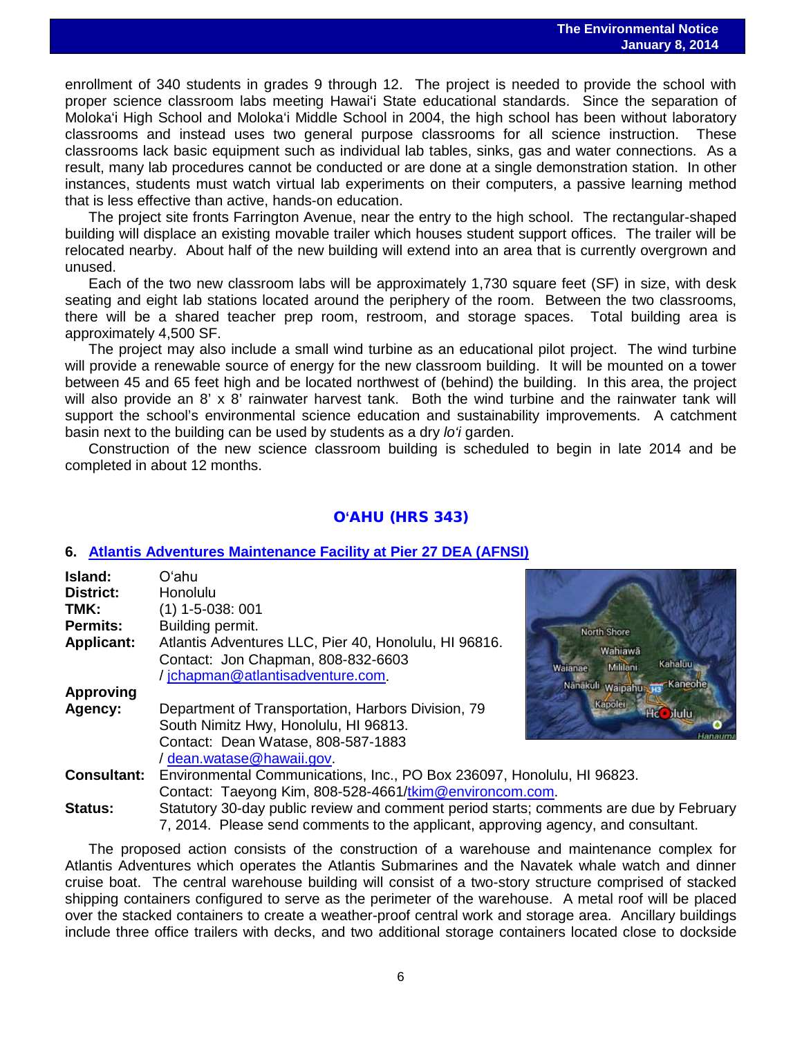enrollment of 340 students in grades 9 through 12. The project is needed to provide the school with proper science classroom labs meeting Hawai'i State educational standards. Since the separation of Moloka'i High School and Moloka'i Middle School in 2004, the high school has been without laboratory classrooms and instead uses two general purpose classrooms for all science instruction. These classrooms lack basic equipment such as individual lab tables, sinks, gas and water connections. As a result, many lab procedures cannot be conducted or are done at a single demonstration station. In other instances, students must watch virtual lab experiments on their computers, a passive learning method that is less effective than active, hands-on education.

The project site fronts Farrington Avenue, near the entry to the high school. The rectangular-shaped building will displace an existing movable trailer which houses student support offices. The trailer will be relocated nearby. About half of the new building will extend into an area that is currently overgrown and unused.

Each of the two new classroom labs will be approximately 1,730 square feet (SF) in size, with desk seating and eight lab stations located around the periphery of the room. Between the two classrooms, there will be a shared teacher prep room, restroom, and storage spaces. Total building area is approximately 4,500 SF.

The project may also include a small wind turbine as an educational pilot project. The wind turbine will provide a renewable source of energy for the new classroom building. It will be mounted on a tower between 45 and 65 feet high and be located northwest of (behind) the building. In this area, the project will also provide an 8' x 8' rainwater harvest tank. Both the wind turbine and the rainwater tank will support the school's environmental science education and sustainability improvements. A catchment basin next to the building can be used by students as a dry *lo'i* garden.

Construction of the new science classroom building is scheduled to begin in late 2014 and be completed in about 12 months.

#### O**'**AHU (HRS 343)

#### **6. [Atlantis Adventures Maintenance Facility at Pier 27 DEA \(AFNSI\)](http://oeqc.doh.hawaii.gov/Shared%20Documents/EA_and_EIS_Online_Library/Oahu/2010s/2014-01-08-OA-5E-DEA-Atlantis-Adventures-Maintenance-Facility-at-Pier-27.pdf)**

| Island:            | Oʻahu                                                     |
|--------------------|-----------------------------------------------------------|
| District:          | Honolulu                                                  |
| TMK:               | $(1)$ 1-5-038: 001                                        |
| <b>Permits:</b>    | Building permit.                                          |
| <b>Applicant:</b>  | Atlantis Adventures LLC, Pier 40, Honolulu, HI 96816.     |
|                    | Contact: Jon Chapman, 808-832-6603                        |
|                    | /jchapman@atlantisadventure.com.                          |
| <b>Approving</b>   |                                                           |
| Agency:            | Department of Transportation, Harbors Division, 79        |
|                    | South Nimitz Hwy, Honolulu, HI 96813.                     |
|                    | Contact: Dean Watase, 808-587-1883                        |
|                    | / dean.watase@hawaii.gov                                  |
| <b>Consultant:</b> | Environmental Communications, Inc., PO Box 236097, Hor    |
|                    | Contact: Taeyong Kim, 808-528-4661/tkim@environcom.c      |
| Status:            | Statutory 30-day public review and comment period starts; |



**polulu, HI 96823.** Contact: Taeyong Kim, 808-528-4661/<u>tkim@environcom.com</u>. **Status:** Statutory 30-day public review and comment period starts; comments are due by February

7, 2014. Please send comments to the applicant, approving agency, and consultant.

The proposed action consists of the construction of a warehouse and maintenance complex for Atlantis Adventures which operates the Atlantis Submarines and the Navatek whale watch and dinner cruise boat. The central warehouse building will consist of a two-story structure comprised of stacked shipping containers configured to serve as the perimeter of the warehouse. A metal roof will be placed over the stacked containers to create a weather-proof central work and storage area. Ancillary buildings include three office trailers with decks, and two additional storage containers located close to dockside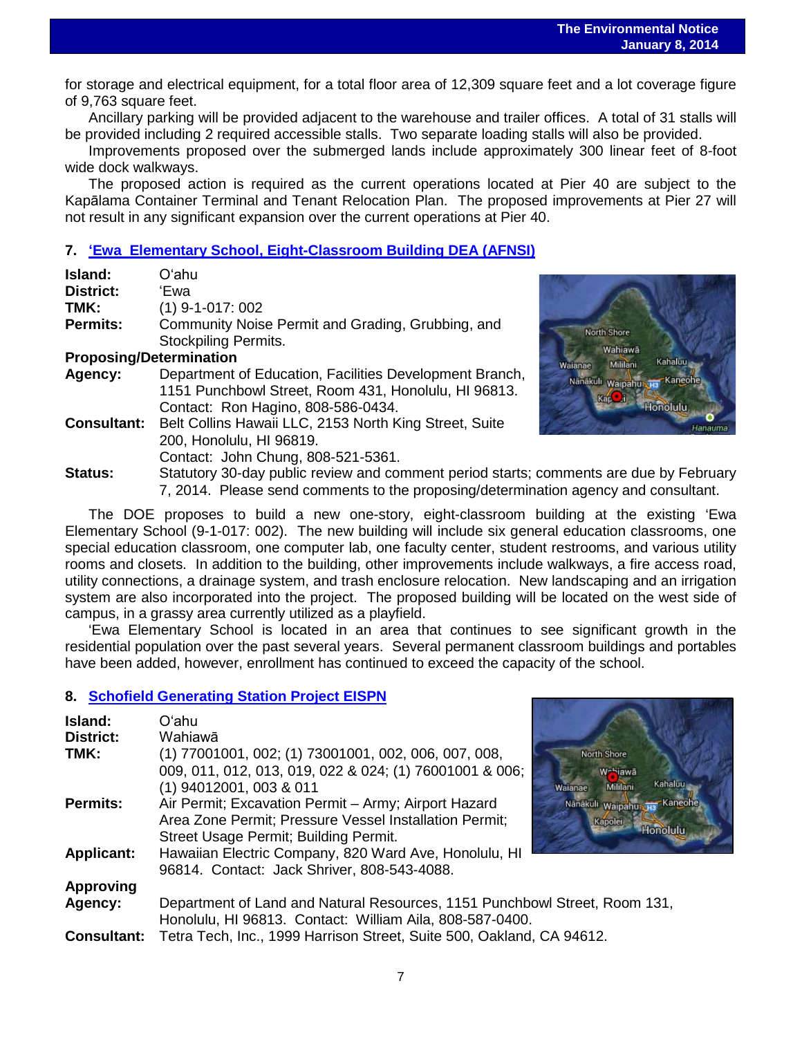for storage and electrical equipment, for a total floor area of 12,309 square feet and a lot coverage figure of 9,763 square feet.

Ancillary parking will be provided adjacent to the warehouse and trailer offices. A total of 31 stalls will be provided including 2 required accessible stalls. Two separate loading stalls will also be provided.

Improvements proposed over the submerged lands include approximately 300 linear feet of 8-foot wide dock walkways.

The proposed action is required as the current operations located at Pier 40 are subject to the Kapālama Container Terminal and Tenant Relocation Plan. The proposed improvements at Pier 27 will not result in any significant expansion over the current operations at Pier 40.

### **7. ʻ[Ewa Elementary School, Eight-Classroom Building DEA \(AFNSI\)](http://oeqc.doh.hawaii.gov/Shared%20Documents/EA_and_EIS_Online_Library/Oahu/2010s/2014-01-08-OA-5B-DEA-Ewa-Elementary-School-Eight-Classroom-Building.pdf)**

| Island:                        | Oʻahu                                                    |
|--------------------------------|----------------------------------------------------------|
| District:                      | 'Ewa                                                     |
| TMK:                           | $(1)$ 9-1-017: 002                                       |
| <b>Permits:</b>                | Community Noise Permit and Grading, Grubbing, and        |
|                                | <b>Stockpiling Permits.</b>                              |
| <b>Proposing/Determination</b> |                                                          |
| Agency:                        | Department of Education, Facilities Development Branch,  |
|                                | 1151 Punchbowl Street, Room 431, Honolulu, HI 96813.     |
|                                | Contact: Ron Hagino, 808-586-0434.                       |
| <b>Consultant:</b>             | Belt Collins Hawaii LLC, 2153 North King Street, Suite   |
|                                | 200, Honolulu, HI 96819.                                 |
|                                | Contact: John Chung, 808-521-5361.                       |
| Status:                        | Statutory 30-day public review and comment period starts |



**Status:** Statutory 30-day public review and comment period starts; comments are due by February 7, 2014. Please send comments to the proposing/determination agency and consultant.

The DOE proposes to build a new one-story, eight-classroom building at the existing 'Ewa Elementary School (9-1-017: 002). The new building will include six general education classrooms, one special education classroom, one computer lab, one faculty center, student restrooms, and various utility rooms and closets. In addition to the building, other improvements include walkways, a fire access road, utility connections, a drainage system, and trash enclosure relocation. New landscaping and an irrigation system are also incorporated into the project. The proposed building will be located on the west side of campus, in a grassy area currently utilized as a playfield.

'Ewa Elementary School is located in an area that continues to see significant growth in the residential population over the past several years. Several permanent classroom buildings and portables have been added, however, enrollment has continued to exceed the capacity of the school.

#### **8. [Schofield Generating Station Project EISPN](http://oeqc.doh.hawaii.gov/Shared%20Documents/EA_and_EIS_Online_Library/Oahu/2010s/2014-01-08-OA-5E-EISPN-Schofield-Generating-Station-Project.pdf)**

| Island:            | Oʻahu                                                                      |                                |
|--------------------|----------------------------------------------------------------------------|--------------------------------|
| District:          | Wahiawā                                                                    |                                |
| TMK:               | (1) 77001001, 002; (1) 73001001, 002, 006, 007, 008,                       | North Shore                    |
|                    | 009, 011, 012, 013, 019, 022 & 024; (1) 76001001 & 006;                    | W-hiawā                        |
|                    | $(1)$ 94012001, 003 & 011                                                  | Kahaluu<br>Mililani<br>Waianae |
| <b>Permits:</b>    | Air Permit; Excavation Permit - Army; Airport Hazard                       | Nänäkuli Waipahus Ha Kaneohe   |
|                    | Area Zone Permit; Pressure Vessel Installation Permit;                     | Kapolei                        |
|                    | Street Usage Permit; Building Permit.                                      | Honolulu                       |
| <b>Applicant:</b>  | Hawaiian Electric Company, 820 Ward Ave, Honolulu, HI                      |                                |
|                    | 96814. Contact: Jack Shriver, 808-543-4088.                                |                                |
| <b>Approving</b>   |                                                                            |                                |
| Agency:            | Department of Land and Natural Resources, 1151 Punchbowl Street, Room 131, |                                |
|                    | Honolulu, HI 96813. Contact: William Aila, 808-587-0400.                   |                                |
| <b>Consultant:</b> | Tetra Tech, Inc., 1999 Harrison Street, Suite 500, Oakland, CA 94612.      |                                |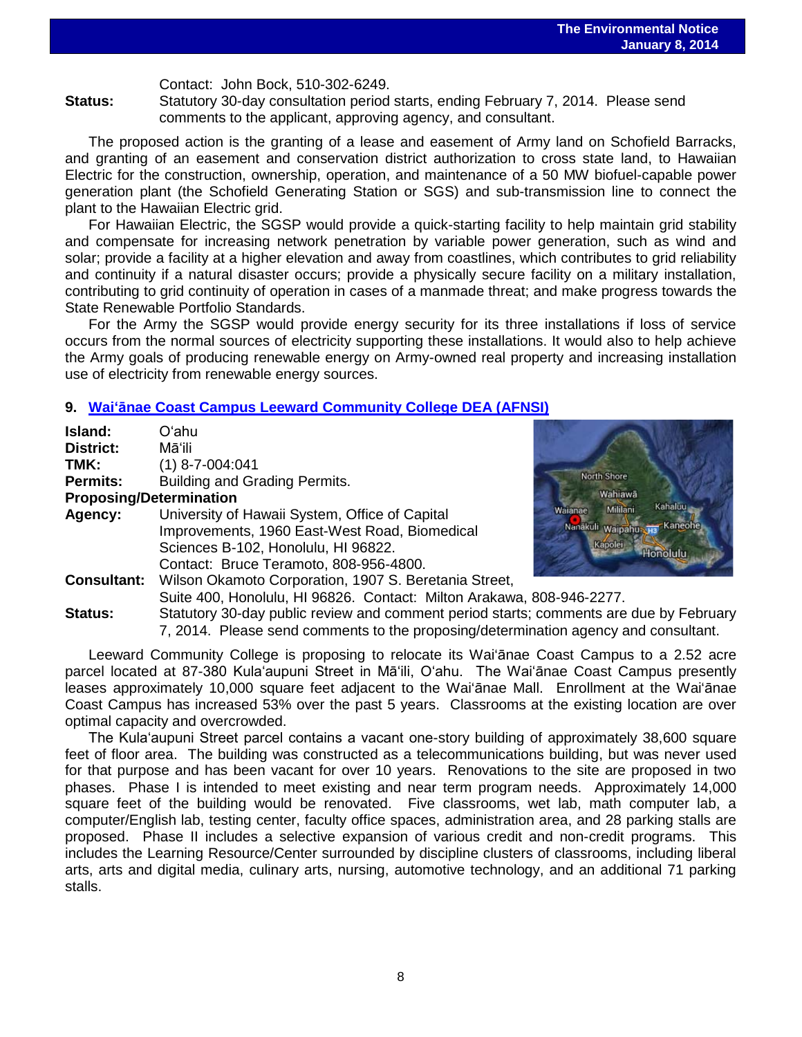Contact: John Bock, 510-302-6249.

**Status:** Statutory 30-day consultation period starts, ending February 7, 2014. Please send comments to the applicant, approving agency, and consultant.

The proposed action is the granting of a lease and easement of Army land on Schofield Barracks, and granting of an easement and conservation district authorization to cross state land, to Hawaiian Electric for the construction, ownership, operation, and maintenance of a 50 MW biofuel-capable power generation plant (the Schofield Generating Station or SGS) and sub-transmission line to connect the plant to the Hawaiian Electric grid.

For Hawaiian Electric, the SGSP would provide a quick-starting facility to help maintain grid stability and compensate for increasing network penetration by variable power generation, such as wind and solar; provide a facility at a higher elevation and away from coastlines, which contributes to grid reliability and continuity if a natural disaster occurs; provide a physically secure facility on a military installation, contributing to grid continuity of operation in cases of a manmade threat; and make progress towards the State Renewable Portfolio Standards.

For the Army the SGSP would provide energy security for its three installations if loss of service occurs from the normal sources of electricity supporting these installations. It would also to help achieve the Army goals of producing renewable energy on Army-owned real property and increasing installation use of electricity from renewable energy sources.

#### **9. Waiʻānae [Coast Campus Leeward Community College](http://oeqc.doh.hawaii.gov/Shared%20Documents/EA_and_EIS_Online_Library/Oahu/2010s/2014-01-08-OA-5B-DEA-Waianae-Coast-Campus-Leeward-Community-College.pdf) DEA (AFNSI)**

| Oʻahu                                                   |
|---------------------------------------------------------|
| Māʻili                                                  |
| $(1)$ 8-7-004:041                                       |
| Building and Grading Permits.                           |
| <b>Proposing/Determination</b>                          |
| University of Hawaii System, Office of Capital          |
| Improvements, 1960 East-West Road, Biomedical           |
| Sciences B-102, Honolulu, HI 96822.                     |
| Contact: Bruce Teramoto, 808-956-4800.                  |
| Wilson Okamoto Corporation, 1907 S. Beretania Street,   |
| Suite 400, Honolulu, HI 96826. Contact: Milton Arakawa  |
| Statutory 30-day public review and comment period start |
|                                                         |



a, 808-946-2277. ts: comments are due by February 7, 2014. Please send comments to the proposing/determination agency and consultant.

Leeward Community College is proposing to relocate its Wai'ānae Coast Campus to a 2.52 acre parcel located at 87-380 Kulaʻaupuni Street in Māʻili, O'ahu. The Wai'ānae Coast Campus presently leases approximately 10,000 square feet adjacent to the Wai'ānae Mall. Enrollment at the Wai'ānae Coast Campus has increased 53% over the past 5 years. Classrooms at the existing location are over optimal capacity and overcrowded.

The Kulaʻaupuni Street parcel contains a vacant one-story building of approximately 38,600 square feet of floor area. The building was constructed as a telecommunications building, but was never used for that purpose and has been vacant for over 10 years. Renovations to the site are proposed in two phases. Phase I is intended to meet existing and near term program needs. Approximately 14,000 square feet of the building would be renovated. Five classrooms, wet lab, math computer lab, a computer/English lab, testing center, faculty office spaces, administration area, and 28 parking stalls are proposed. Phase II includes a selective expansion of various credit and non-credit programs. This includes the Learning Resource/Center surrounded by discipline clusters of classrooms, including liberal arts, arts and digital media, culinary arts, nursing, automotive technology, and an additional 71 parking stalls.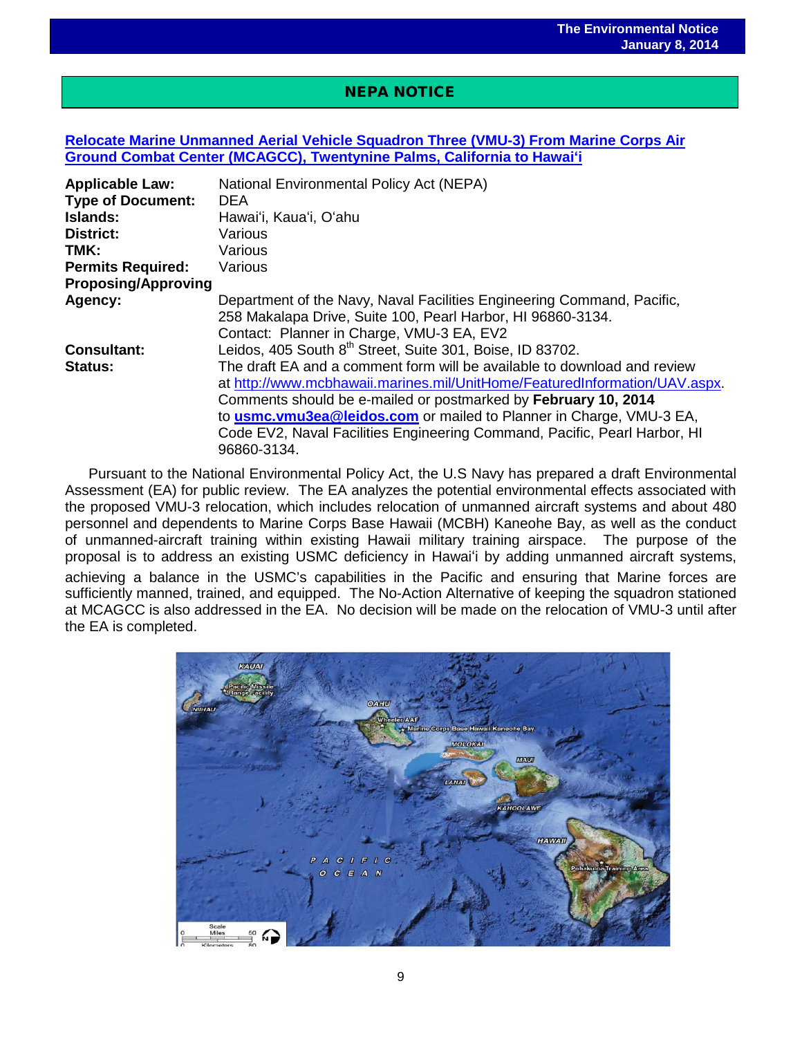### NEPA NOTICE

 $\overline{a}$ 

#### **[Relocate Marine Unmanned Aerial Vehicle Squadron Three \(VMU-3\) From Marine Corps Air](http://oeqc.doh.hawaii.gov/Shared%20Documents/EA_and_EIS_Online_Library/NEPA%20and%20Other%20Documents/2014-01-08-NEPA-DEA-Relocation-of-Unmanned-Aerial-Vehicle-Squadron-from-California-to-Hawaii.pdf)  [Ground Combat Center \(MCAGCC\), Twentynine Palms, California to Hawai](http://oeqc.doh.hawaii.gov/Shared%20Documents/EA_and_EIS_Online_Library/NEPA%20and%20Other%20Documents/2014-01-08-NEPA-DEA-Relocation-of-Unmanned-Aerial-Vehicle-Squadron-from-California-to-Hawaii.pdf)ʻi**

| <b>Applicable Law:</b><br><b>Type of Document:</b> | National Environmental Policy Act (NEPA)<br><b>DEA</b>                     |
|----------------------------------------------------|----------------------------------------------------------------------------|
| Islands:                                           | Hawai'i, Kaua'i, O'ahu                                                     |
| <b>District:</b>                                   | Various                                                                    |
| TMK:                                               | Various                                                                    |
| <b>Permits Required:</b>                           | Various                                                                    |
| <b>Proposing/Approving</b>                         |                                                                            |
| Agency:                                            | Department of the Navy, Naval Facilities Engineering Command, Pacific,     |
|                                                    | 258 Makalapa Drive, Suite 100, Pearl Harbor, HI 96860-3134.                |
|                                                    | Contact: Planner in Charge, VMU-3 EA, EV2                                  |
| <b>Consultant:</b>                                 | Leidos, 405 South 8th Street, Suite 301, Boise, ID 83702.                  |
| <b>Status:</b>                                     | The draft EA and a comment form will be available to download and review   |
|                                                    | at http://www.mcbhawaii.marines.mil/UnitHome/FeaturedInformation/UAV.aspx. |
|                                                    | Comments should be e-mailed or postmarked by February 10, 2014             |
|                                                    | to usmc.vmu3ea@leidos.com or mailed to Planner in Charge, VMU-3 EA,        |
|                                                    | Code EV2, Naval Facilities Engineering Command, Pacific, Pearl Harbor, HI  |
|                                                    | 96860-3134.                                                                |

Pursuant to the National Environmental Policy Act, the U.S Navy has prepared a draft Environmental Assessment (EA) for public review. The EA analyzes the potential environmental effects associated with the proposed VMU-3 relocation, which includes relocation of unmanned aircraft systems and about 480 personnel and dependents to Marine Corps Base Hawaii (MCBH) Kaneohe Bay, as well as the conduct of unmanned-aircraft training within existing Hawaii military training airspace. The purpose of the proposal is to address an existing USMC deficiency in Hawai'i by adding unmanned aircraft systems, achieving a balance in the USMC's capabilities in the Pacific and ensuring that Marine forces are sufficiently manned, trained, and equipped. The No-Action Alternative of keeping the squadron stationed at MCAGCC is also addressed in the EA. No decision will be made on the relocation of VMU-3 until after the EA is completed.

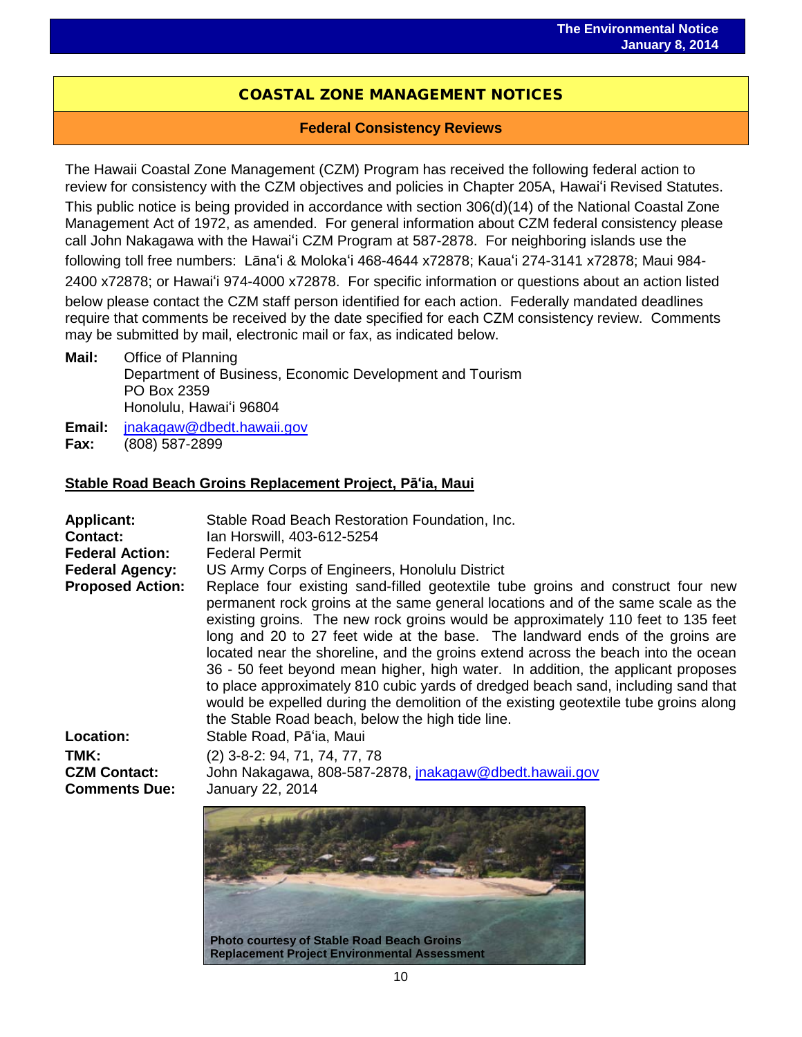### COASTAL ZONE MANAGEMENT NOTICES

#### **Federal Consistency Reviews**

The Hawaii Coastal Zone Management (CZM) Program has received the following federal action to review for consistency with the CZM objectives and policies in Chapter 205A, Hawai'i Revised Statutes.

This public notice is being provided in accordance with section 306(d)(14) of the National Coastal Zone Management Act of 1972, as amended. For general information about CZM federal consistency please call John Nakagawa with the Hawai'i CZM Program at 587-2878. For neighboring islands use the following toll free numbers: Lāna'i & Moloka'i 468-4644 x72878; Kaua'i 274-3141 x72878; Maui 984-

2400 x72878; or Hawai'i 974-4000 x72878. For specific information or questions about an action listed below please contact the CZM staff person identified for each action. Federally mandated deadlines require that comments be received by the date specified for each CZM consistency review. Comments may be submitted by mail, electronic mail or fax, as indicated below.

**Mail:** Office of Planning Department of Business, Economic Development and Tourism PO Box 2359 Honolulu, Hawai'i 96804

Email: <u>[jnakagaw@dbedt.hawaii.gov](mailto:jnakagaw@dbedt.hawaii.gov)</u><br>Fax: (808) 587-2899 **Fax:** (808) 587-2899

#### **Stable Road Beach Groins Replacement Project, Pā'ia, Maui**

| <b>Applicant:</b><br><b>Contact:</b><br><b>Federal Action:</b> | Stable Road Beach Restoration Foundation, Inc.<br>Ian Horswill, 403-612-5254<br><b>Federal Permit</b>                                                                                                                                                                                                                                                                                                                                                                                                                                                                                                                                                                                                                                             |
|----------------------------------------------------------------|---------------------------------------------------------------------------------------------------------------------------------------------------------------------------------------------------------------------------------------------------------------------------------------------------------------------------------------------------------------------------------------------------------------------------------------------------------------------------------------------------------------------------------------------------------------------------------------------------------------------------------------------------------------------------------------------------------------------------------------------------|
| <b>Federal Agency:</b>                                         | US Army Corps of Engineers, Honolulu District                                                                                                                                                                                                                                                                                                                                                                                                                                                                                                                                                                                                                                                                                                     |
| <b>Proposed Action:</b>                                        | Replace four existing sand-filled geotextile tube groins and construct four new<br>permanent rock groins at the same general locations and of the same scale as the<br>existing groins. The new rock groins would be approximately 110 feet to 135 feet<br>long and 20 to 27 feet wide at the base. The landward ends of the groins are<br>located near the shoreline, and the groins extend across the beach into the ocean<br>36 - 50 feet beyond mean higher, high water. In addition, the applicant proposes<br>to place approximately 810 cubic yards of dredged beach sand, including sand that<br>would be expelled during the demolition of the existing geotextile tube groins along<br>the Stable Road beach, below the high tide line. |
| Location:                                                      | Stable Road, Pā'ia, Maui                                                                                                                                                                                                                                                                                                                                                                                                                                                                                                                                                                                                                                                                                                                          |
| TMK:<br><b>CZM Contact:</b><br><b>Comments Due:</b>            | (2) 3-8-2: 94, 71, 74, 77, 78<br>John Nakagawa, 808-587-2878, jnakagaw@dbedt.hawaii.gov<br>January 22, 2014                                                                                                                                                                                                                                                                                                                                                                                                                                                                                                                                                                                                                                       |
|                                                                |                                                                                                                                                                                                                                                                                                                                                                                                                                                                                                                                                                                                                                                                                                                                                   |

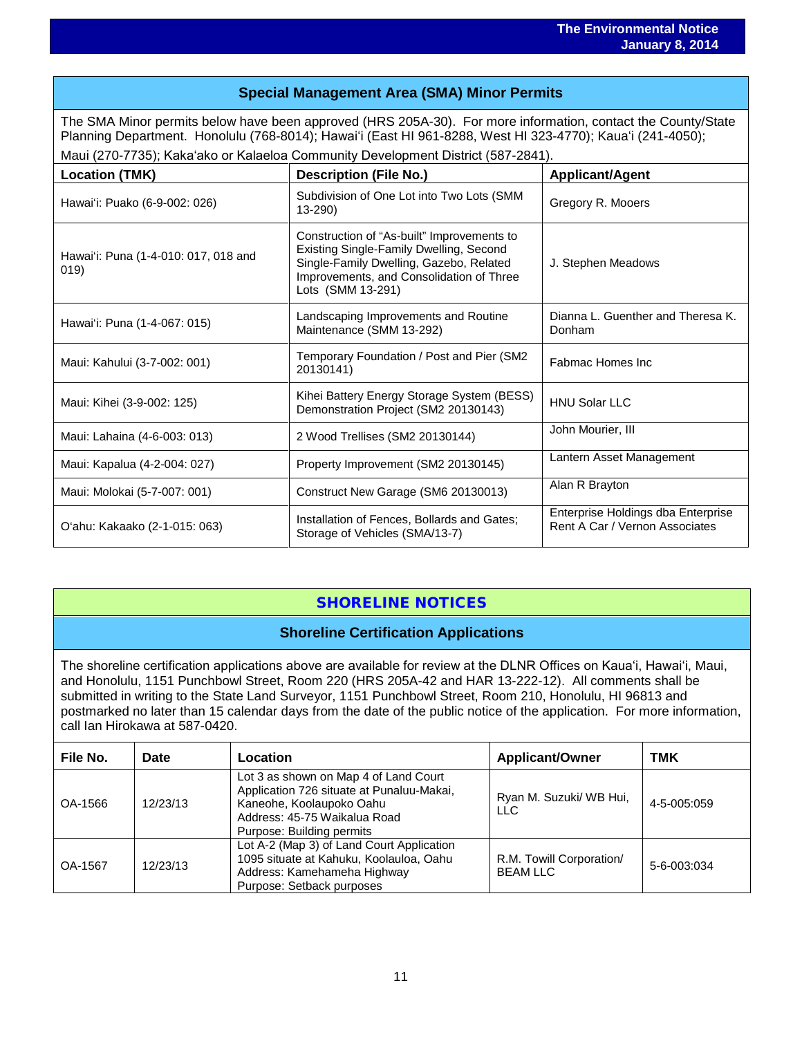### **Special Management Area (SMA) Minor Permits**

The SMA Minor permits below have been approved (HRS 205A-30). For more information, contact the County/State Planning Department. Honolulu (768-8014); Hawaiʻi (East HI 961-8288, West HI 323-4770); Kauaʻi (241-4050); Maui (270-7735); Kakaʻako or Kalaeloa Community Development District (587-2841).

| <b>Location (TMK)</b>                        | <b>Description (File No.)</b>                                                                                                                                                                     | <b>Applicant/Agent</b>                                               |  |
|----------------------------------------------|---------------------------------------------------------------------------------------------------------------------------------------------------------------------------------------------------|----------------------------------------------------------------------|--|
| Hawai'i: Puako (6-9-002: 026)                | Subdivision of One Lot into Two Lots (SMM<br>$13 - 290$                                                                                                                                           | Gregory R. Mooers                                                    |  |
| Hawai'i: Puna (1-4-010: 017, 018 and<br>019) | Construction of "As-built" Improvements to<br>Existing Single-Family Dwelling, Second<br>Single-Family Dwelling, Gazebo, Related<br>Improvements, and Consolidation of Three<br>Lots (SMM 13-291) | J. Stephen Meadows                                                   |  |
| Hawai'i: Puna (1-4-067: 015)                 | Landscaping Improvements and Routine<br>Maintenance (SMM 13-292)                                                                                                                                  | Dianna L. Guenther and Theresa K.<br>Donham                          |  |
| Maui: Kahului (3-7-002: 001)                 | Temporary Foundation / Post and Pier (SM2)<br>20130141)                                                                                                                                           | Fabmac Homes Inc                                                     |  |
| Maui: Kihei (3-9-002: 125)                   | Kihei Battery Energy Storage System (BESS)<br>Demonstration Project (SM2 20130143)                                                                                                                | HNU Solar LLC                                                        |  |
| Maui: Lahaina (4-6-003: 013)                 | 2 Wood Trellises (SM2 20130144)                                                                                                                                                                   | John Mourier, III                                                    |  |
| Maui: Kapalua (4-2-004: 027)                 | Property Improvement (SM2 20130145)                                                                                                                                                               | Lantern Asset Management                                             |  |
| Maui: Molokai (5-7-007: 001)                 | Construct New Garage (SM6 20130013)                                                                                                                                                               | Alan R Brayton                                                       |  |
| O'ahu: Kakaako (2-1-015: 063)                | Installation of Fences, Bollards and Gates;<br>Storage of Vehicles (SMA/13-7)                                                                                                                     | Enterprise Holdings dba Enterprise<br>Rent A Car / Vernon Associates |  |

## SHORELINE NOTICES

#### **Shoreline Certification Applications**

The shoreline certification applications above are available for review at the DLNR Offices on Kauaʻi, Hawaiʻi, Maui, and Honolulu, 1151 Punchbowl Street, Room 220 (HRS 205A-42 and HAR 13-222-12). All comments shall be submitted in writing to the State Land Surveyor, 1151 Punchbowl Street, Room 210, Honolulu, HI 96813 and postmarked no later than 15 calendar days from the date of the public notice of the application. For more information, call Ian Hirokawa at 587-0420.

| File No. | Date     | Location                                                                                                                                                                    | <b>Applicant/Owner</b>                      | TMK         |
|----------|----------|-----------------------------------------------------------------------------------------------------------------------------------------------------------------------------|---------------------------------------------|-------------|
| OA-1566  | 12/23/13 | Lot 3 as shown on Map 4 of Land Court<br>Application 726 situate at Punaluu-Makai,<br>Kaneohe, Koolaupoko Oahu<br>Address: 45-75 Waikalua Road<br>Purpose: Building permits | Ryan M. Suzuki/ WB Hui,<br>LLC              | 4-5-005:059 |
| OA-1567  | 12/23/13 | Lot A-2 (Map 3) of Land Court Application<br>1095 situate at Kahuku, Koolauloa, Oahu<br>Address: Kamehameha Highway<br>Purpose: Setback purposes                            | R.M. Towill Corporation/<br><b>BEAM LLC</b> | 5-6-003:034 |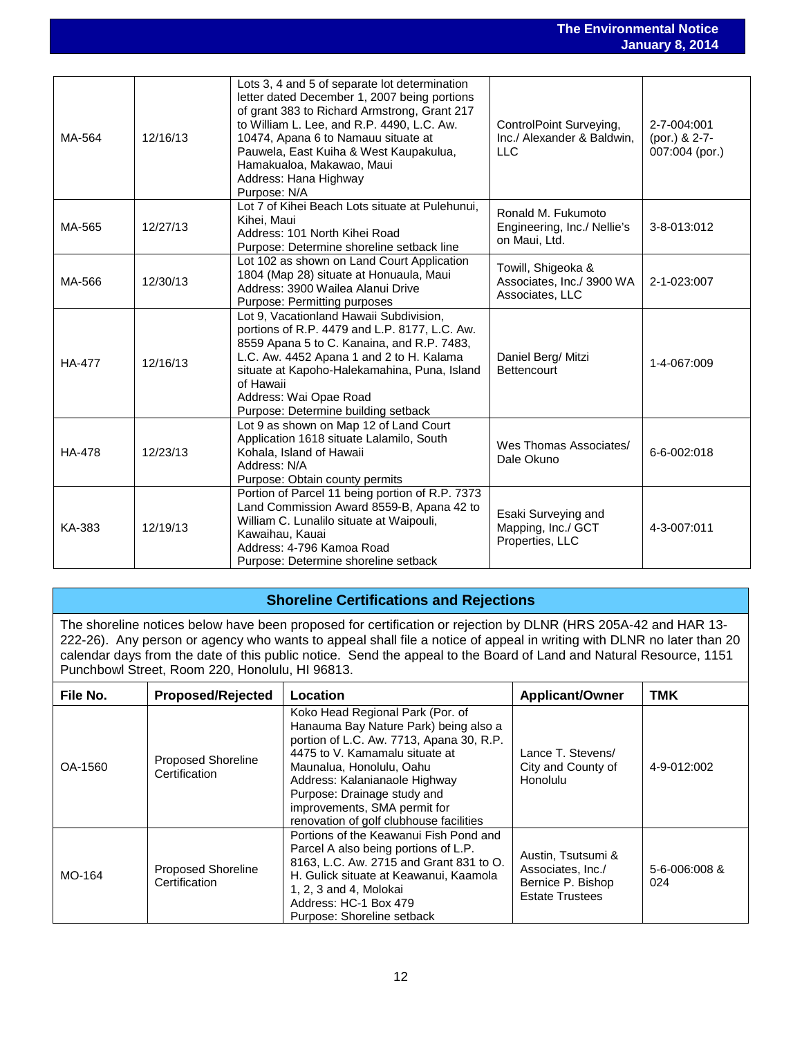#### **The Environmental Notice January 8, 2014**

|               |          |                                                                                                                                                                                                                                                                                                                                                    |                                                                     | sanaar y                                       |
|---------------|----------|----------------------------------------------------------------------------------------------------------------------------------------------------------------------------------------------------------------------------------------------------------------------------------------------------------------------------------------------------|---------------------------------------------------------------------|------------------------------------------------|
|               |          |                                                                                                                                                                                                                                                                                                                                                    |                                                                     |                                                |
| MA-564        | 12/16/13 | Lots 3, 4 and 5 of separate lot determination<br>letter dated December 1, 2007 being portions<br>of grant 383 to Richard Armstrong, Grant 217<br>to William L. Lee, and R.P. 4490, L.C. Aw.<br>10474, Apana 6 to Namauu situate at<br>Pauwela, East Kuiha & West Kaupakulua,<br>Hamakualoa, Makawao, Maui<br>Address: Hana Highway<br>Purpose: N/A | ControlPoint Surveying,<br>Inc./ Alexander & Baldwin,<br><b>LLC</b> | 2-7-004:001<br>(por.) & 2-7-<br>007:004 (por.) |
| MA-565        | 12/27/13 | Lot 7 of Kihei Beach Lots situate at Pulehunui,<br>Kihei, Maui<br>Address: 101 North Kihei Road<br>Purpose: Determine shoreline setback line                                                                                                                                                                                                       | Ronald M. Fukumoto<br>Engineering, Inc./ Nellie's<br>on Maui, Ltd.  | 3-8-013:012                                    |
| MA-566        | 12/30/13 | Lot 102 as shown on Land Court Application<br>1804 (Map 28) situate at Honuaula, Maui<br>Address: 3900 Wailea Alanui Drive<br>Purpose: Permitting purposes                                                                                                                                                                                         | Towill, Shigeoka &<br>Associates, Inc./ 3900 WA<br>Associates, LLC  | 2-1-023:007                                    |
| <b>HA-477</b> | 12/16/13 | Lot 9, Vacationland Hawaii Subdivision,<br>portions of R.P. 4479 and L.P. 8177, L.C. Aw.<br>8559 Apana 5 to C. Kanaina, and R.P. 7483,<br>L.C. Aw. 4452 Apana 1 and 2 to H. Kalama<br>situate at Kapoho-Halekamahina, Puna, Island<br>of Hawaii<br>Address: Wai Opae Road<br>Purpose: Determine building setback                                   | Daniel Berg/ Mitzi<br><b>Bettencourt</b>                            | 1-4-067:009                                    |
| <b>HA-478</b> | 12/23/13 | Lot 9 as shown on Map 12 of Land Court<br>Application 1618 situate Lalamilo, South<br>Kohala, Island of Hawaii<br>Address: N/A<br>Purpose: Obtain county permits                                                                                                                                                                                   | Wes Thomas Associates/<br>Dale Okuno                                | 6-6-002:018                                    |
| KA-383        | 12/19/13 | Portion of Parcel 11 being portion of R.P. 7373<br>Land Commission Award 8559-B, Apana 42 to<br>William C. Lunalilo situate at Waipouli,<br>Kawaihau, Kauai<br>Address: 4-796 Kamoa Road<br>Purpose: Determine shoreline setback                                                                                                                   | Esaki Surveying and<br>Mapping, Inc./ GCT<br>Properties, LLC        | 4-3-007:011                                    |

### **Shoreline Certifications and Rejections**

The shoreline notices below have been proposed for certification or rejection by DLNR (HRS 205A-42 and HAR 13- 222-26). Any person or agency who wants to appeal shall file a notice of appeal in writing with DLNR no later than 20 calendar days from the date of this public notice. Send the appeal to the Board of Land and Natural Resource, 1151 Punchbowl Street, Room 220, Honolulu, HI 96813.

| File No. | <b>Proposed/Rejected</b>                   | Location                                                                                                                                                                                                                                                                                                                       | <b>Applicant/Owner</b>                                                                 | TMK                        |
|----------|--------------------------------------------|--------------------------------------------------------------------------------------------------------------------------------------------------------------------------------------------------------------------------------------------------------------------------------------------------------------------------------|----------------------------------------------------------------------------------------|----------------------------|
| OA-1560  | <b>Proposed Shoreline</b><br>Certification | Koko Head Regional Park (Por. of<br>Hanauma Bay Nature Park) being also a<br>portion of L.C. Aw. 7713, Apana 30, R.P.<br>4475 to V. Kamamalu situate at<br>Maunalua, Honolulu, Oahu<br>Address: Kalanianaole Highway<br>Purpose: Drainage study and<br>improvements, SMA permit for<br>renovation of golf clubhouse facilities | Lance T. Stevens/<br>City and County of<br>Honolulu                                    | 4-9-012:002                |
| MO-164   | <b>Proposed Shoreline</b><br>Certification | Portions of the Keawanui Fish Pond and<br>Parcel A also being portions of L.P.<br>8163, L.C. Aw. 2715 and Grant 831 to O.<br>H. Gulick situate at Keawanui, Kaamola<br>1, 2, 3 and 4, Molokai<br>Address: HC-1 Box 479<br>Purpose: Shoreline setback                                                                           | Austin, Tsutsumi &<br>Associates, Inc./<br>Bernice P. Bishop<br><b>Estate Trustees</b> | $5 - 6 - 006:008$ &<br>024 |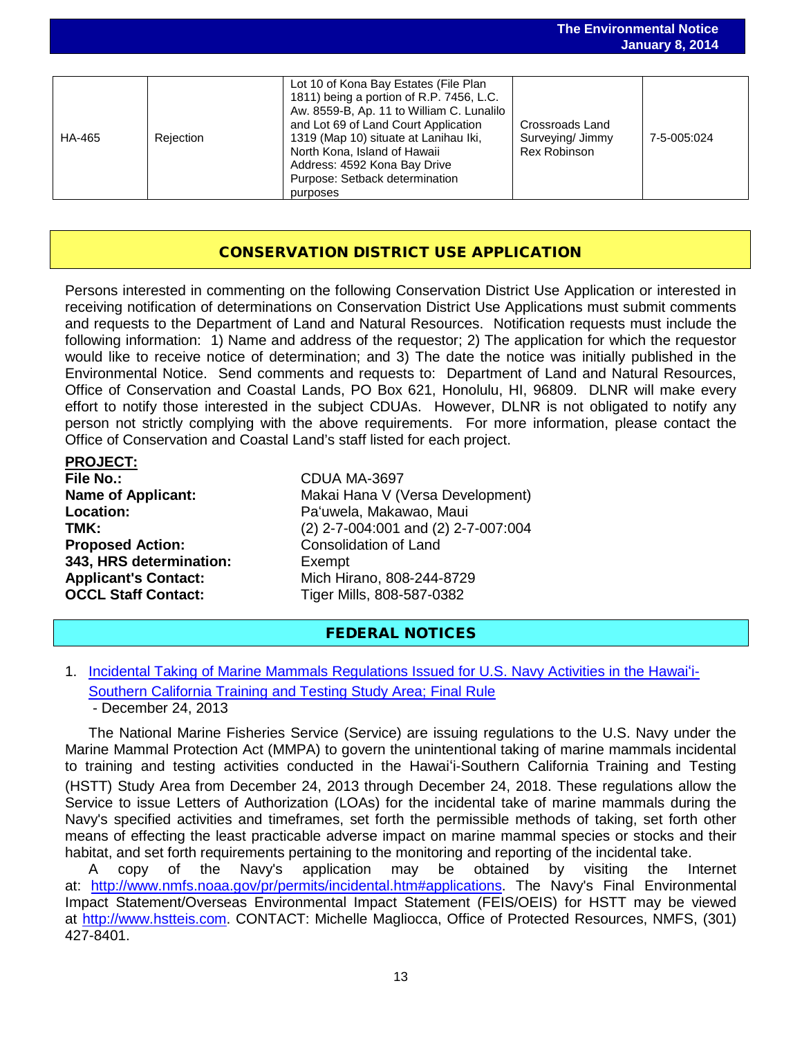|        |           |                                                                                                                                                                                                                                                                                                                   |                                                     | <b>January 8, 2014</b> |
|--------|-----------|-------------------------------------------------------------------------------------------------------------------------------------------------------------------------------------------------------------------------------------------------------------------------------------------------------------------|-----------------------------------------------------|------------------------|
| HA-465 | Rejection | Lot 10 of Kona Bay Estates (File Plan<br>1811) being a portion of R.P. 7456, L.C.<br>Aw. 8559-B, Ap. 11 to William C. Lunalilo<br>and Lot 69 of Land Court Application<br>1319 (Map 10) situate at Lanihau Iki,<br>North Kona, Island of Hawaii<br>Address: 4592 Kona Bay Drive<br>Purpose: Setback determination | Crossroads Land<br>Surveying/ Jimmy<br>Rex Robinson | 7-5-005:024            |
|        |           | purposes                                                                                                                                                                                                                                                                                                          |                                                     |                        |

**The Environmental Notice**

### CONSERVATION DISTRICT USE APPLICATION

Persons interested in commenting on the following Conservation District Use Application or interested in receiving notification of determinations on Conservation District Use Applications must submit comments and requests to the Department of Land and Natural Resources. Notification requests must include the following information: 1) Name and address of the requestor; 2) The application for which the requestor would like to receive notice of determination; and 3) The date the notice was initially published in the Environmental Notice. Send comments and requests to: Department of Land and Natural Resources, Office of Conservation and Coastal Lands, PO Box 621, Honolulu, HI, 96809. DLNR will make every effort to notify those interested in the subject CDUAs. However, DLNR is not obligated to notify any person not strictly complying with the above requirements. For more information, please contact the Office of Conservation and Coastal Land's staff listed for each project.

| <b>PROJECT:</b>             |                 |
|-----------------------------|-----------------|
| <b>File No.:</b>            | CDUA N          |
| <b>Name of Applicant:</b>   | Makai H         |
| <b>Location:</b>            | Pa'uwela        |
| TMK:                        | $(2)$ 2-7-0     |
| <b>Proposed Action:</b>     | Consolio        |
| 343, HRS determination:     | Exempt          |
| <b>Applicant's Contact:</b> | Mich Hir        |
| <b>OCCL Staff Contact:</b>  | <b>Tiger Mi</b> |
|                             |                 |

**MA-3697** Hana V (Versa Development) rela, Makawao, Maui **TMK:** (2) 2-7-004:001 and (2) 2-7-007:004 **Propolidation of Land Applicant's Contact:** Mich Hirano, 808-244-8729 **OCCL Staff Contact:** Tiger Mills, 808-587-0382

### FEDERAL NOTICES

1. [Incidental Taking of Marine Mammals Regulations Issued for U.S. Navy Activities in the Hawai](http://www.gpo.gov/fdsys/pkg/FR-2013-12-24/pdf/2013-30245.pdf)'i-[Southern California Training and Testing Study Area; Final Rule](http://www.gpo.gov/fdsys/pkg/FR-2013-12-24/pdf/2013-30245.pdf) - December 24, 2013

The National Marine Fisheries Service (Service) are issuing regulations to the U.S. Navy under the Marine Mammal Protection Act (MMPA) to govern the unintentional taking of marine mammals incidental to training and testing activities conducted in the Hawai'i-Southern California Training and Testing (HSTT) Study Area from December 24, 2013 through December 24, 2018. These regulations allow the Service to issue Letters of Authorization (LOAs) for the incidental take of marine mammals during the Navy's specified activities and timeframes, set forth the permissible methods of taking, set forth other means of effecting the least practicable adverse impact on marine mammal species or stocks and their habitat, and set forth requirements pertaining to the monitoring and reporting of the incidental take.<br>A copy of the Navy's application may be obtained by visiting the li

A copy of the Navy's application may be obtained by visiting the Internet at: [http://www.nmfs.noaa.gov/pr/permits/incidental.htm#applications.](http://www.nmfs.noaa.gov/pr/permits/incidental.htm#applications) The Navy's Final Environmental Impact Statement/Overseas Environmental Impact Statement (FEIS/OEIS) for HSTT may be viewed at [http://www.hstteis.com.](http://www.hstteis.com/) CONTACT: Michelle Magliocca, Office of Protected Resources, NMFS, (301) 427-8401.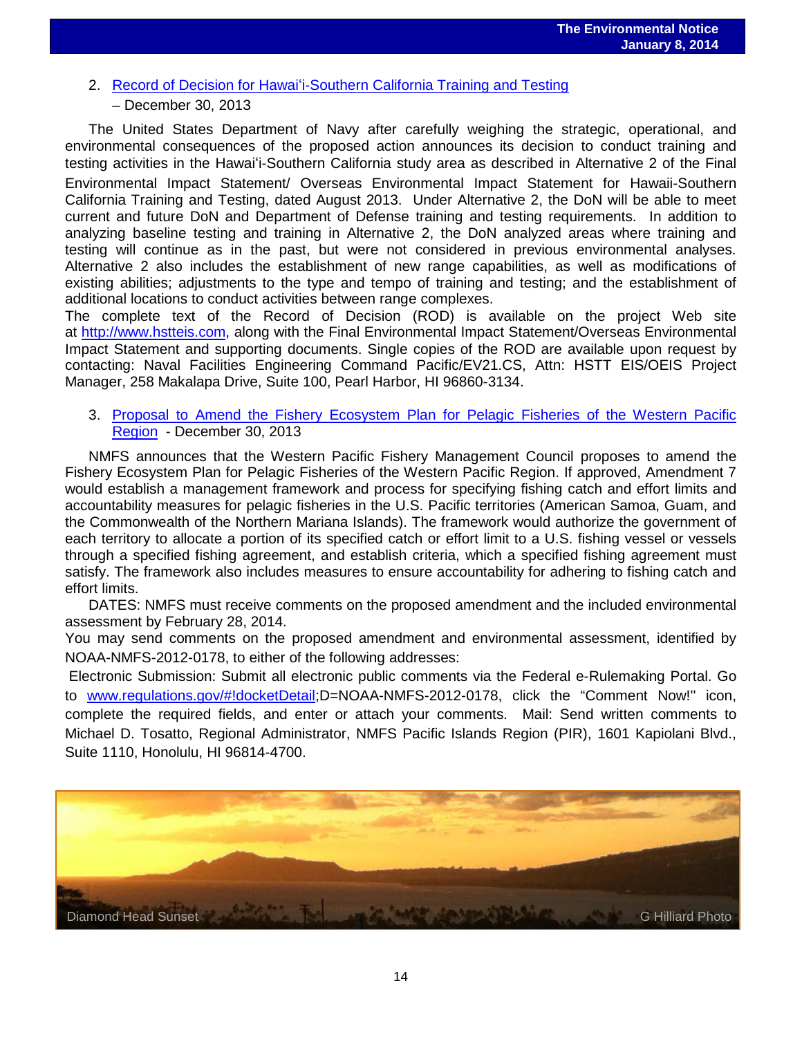2. Record of Decision for Hawai'[i-Southern California Training and Testing](http://www.gpo.gov/fdsys/pkg/FR-2013-12-30/pdf/2013-31208.pdf)

#### – December 30, 2013

The United States Department of Navy after carefully weighing the strategic, operational, and environmental consequences of the proposed action announces its decision to conduct training and testing activities in the Hawai'i-Southern California study area as described in Alternative 2 of the Final

Environmental Impact Statement/ Overseas Environmental Impact Statement for Hawaii-Southern California Training and Testing, dated August 2013. Under Alternative 2, the DoN will be able to meet current and future DoN and Department of Defense training and testing requirements. In addition to analyzing baseline testing and training in Alternative 2, the DoN analyzed areas where training and testing will continue as in the past, but were not considered in previous environmental analyses. Alternative 2 also includes the establishment of new range capabilities, as well as modifications of existing abilities; adjustments to the type and tempo of training and testing; and the establishment of additional locations to conduct activities between range complexes.

The complete text of the Record of Decision (ROD) is available on the project Web site at [http://www.hstteis.com,](http://www.hstteis.com/) along with the Final Environmental Impact Statement/Overseas Environmental Impact Statement and supporting documents. Single copies of the ROD are available upon request by contacting: Naval Facilities Engineering Command Pacific/EV21.CS, Attn: HSTT EIS/OEIS Project Manager, 258 Makalapa Drive, Suite 100, Pearl Harbor, HI 96860-3134.

#### 3. Proposal [to Amend the Fishery Ecosystem Plan for Pelagic Fisheries of the Western Pacific](http://www.gpo.gov/fdsys/pkg/FR-2013-12-30/pdf/2013-31195.pdf)  [Region](http://www.gpo.gov/fdsys/pkg/FR-2013-12-30/pdf/2013-31195.pdf) - December 30, 2013

NMFS announces that the Western Pacific Fishery Management Council proposes to amend the Fishery Ecosystem Plan for Pelagic Fisheries of the Western Pacific Region. If approved, Amendment 7 would establish a management framework and process for specifying fishing catch and effort limits and accountability measures for pelagic fisheries in the U.S. Pacific territories (American Samoa, Guam, and the Commonwealth of the Northern Mariana Islands). The framework would authorize the government of each territory to allocate a portion of its specified catch or effort limit to a U.S. fishing vessel or vessels through a specified fishing agreement, and establish criteria, which a specified fishing agreement must satisfy. The framework also includes measures to ensure accountability for adhering to fishing catch and effort limits.

DATES: NMFS must receive comments on the proposed amendment and the included environmental assessment by February 28, 2014.

You may send comments on the proposed amendment and environmental assessment, identified by NOAA-NMFS-2012-0178, to either of the following addresses:

Electronic Submission: Submit all electronic public comments via the Federal e-Rulemaking Portal. Go to [www.regulations.gov/#!docketDetail;](http://www.regulations.gov/#!docketDetail)D=NOAA-NMFS-2012-0178, click the "Comment Now!'' icon, complete the required fields, and enter or attach your comments. Mail: Send written comments to Michael D. Tosatto, Regional Administrator, NMFS Pacific Islands Region (PIR), 1601 Kapiolani Blvd., Suite 1110, Honolulu, HI 96814-4700.